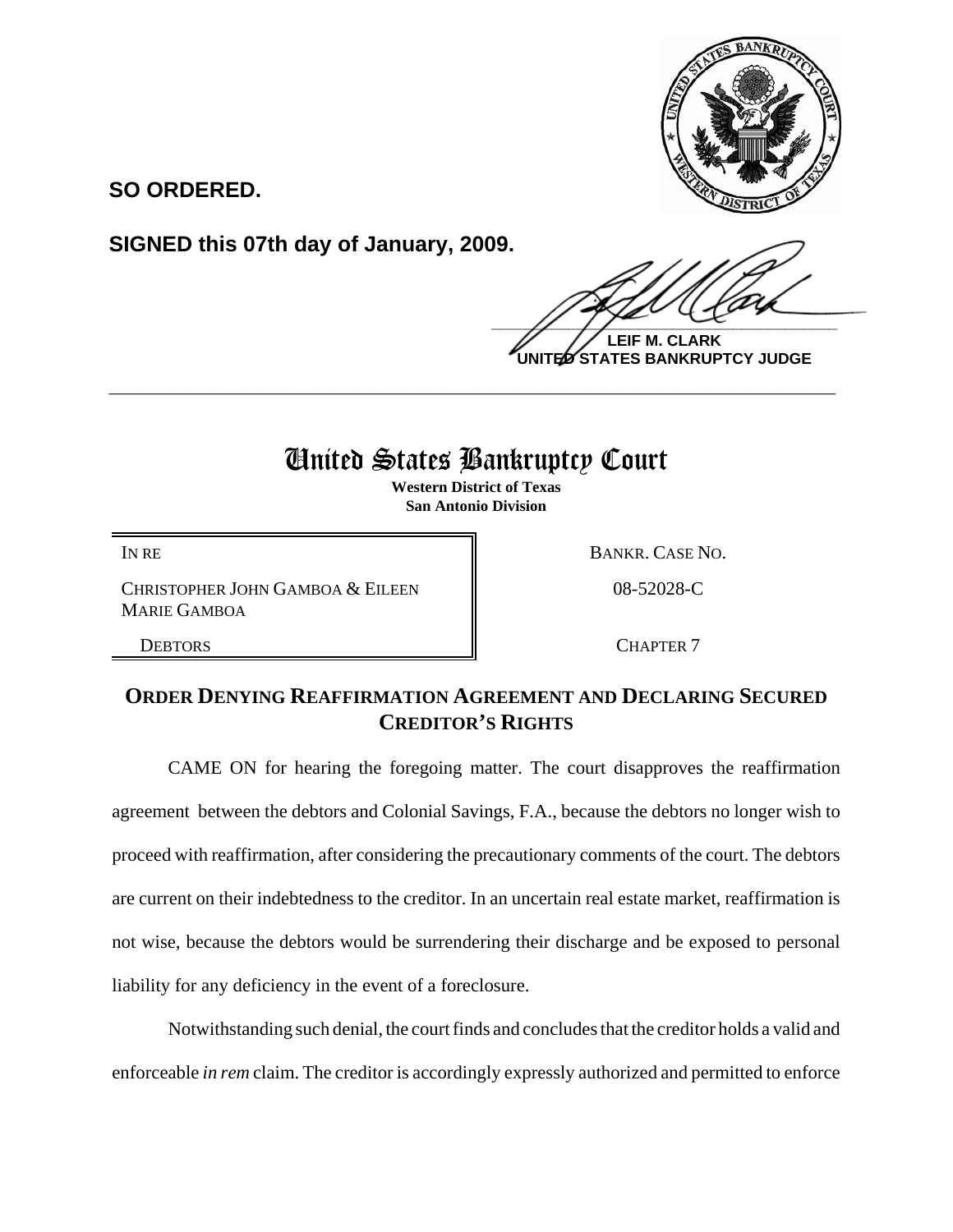

**SO ORDERED.**

**SIGNED this 07th day of January, 2009.**

 $\frac{1}{2}$ 

**LEIF M. CLARK UNITED STATES BANKRUPTCY JUDGE**

## United States Bankruptcy Court

**\_\_\_\_\_\_\_\_\_\_\_\_\_\_\_\_\_\_\_\_\_\_\_\_\_\_\_\_\_\_\_\_\_\_\_\_\_\_\_\_\_\_\_\_\_\_\_\_\_\_\_\_\_\_\_\_\_\_\_\_**

**Western District of Texas San Antonio Division**

CHRISTOPHER JOHN GAMBOA & EILEEN MARIE GAMBOA

IN RE BANKR. CASE NO.

08-52028-C

DEBTORS RESERVE THE CHAPTER 7

## **ORDER DENYING REAFFIRMATION AGREEMENT AND DECLARING SECURED CREDITOR'S RIGHTS**

CAME ON for hearing the foregoing matter. The court disapproves the reaffirmation agreement between the debtors and Colonial Savings, F.A., because the debtors no longer wish to proceed with reaffirmation, after considering the precautionary comments of the court. The debtors are current on their indebtedness to the creditor. In an uncertain real estate market, reaffirmation is not wise, because the debtors would be surrendering their discharge and be exposed to personal liability for any deficiency in the event of a foreclosure.

Notwithstanding such denial, the court finds and concludes that the creditor holds a valid and enforceable *in rem* claim. The creditor is accordingly expressly authorized and permitted to enforce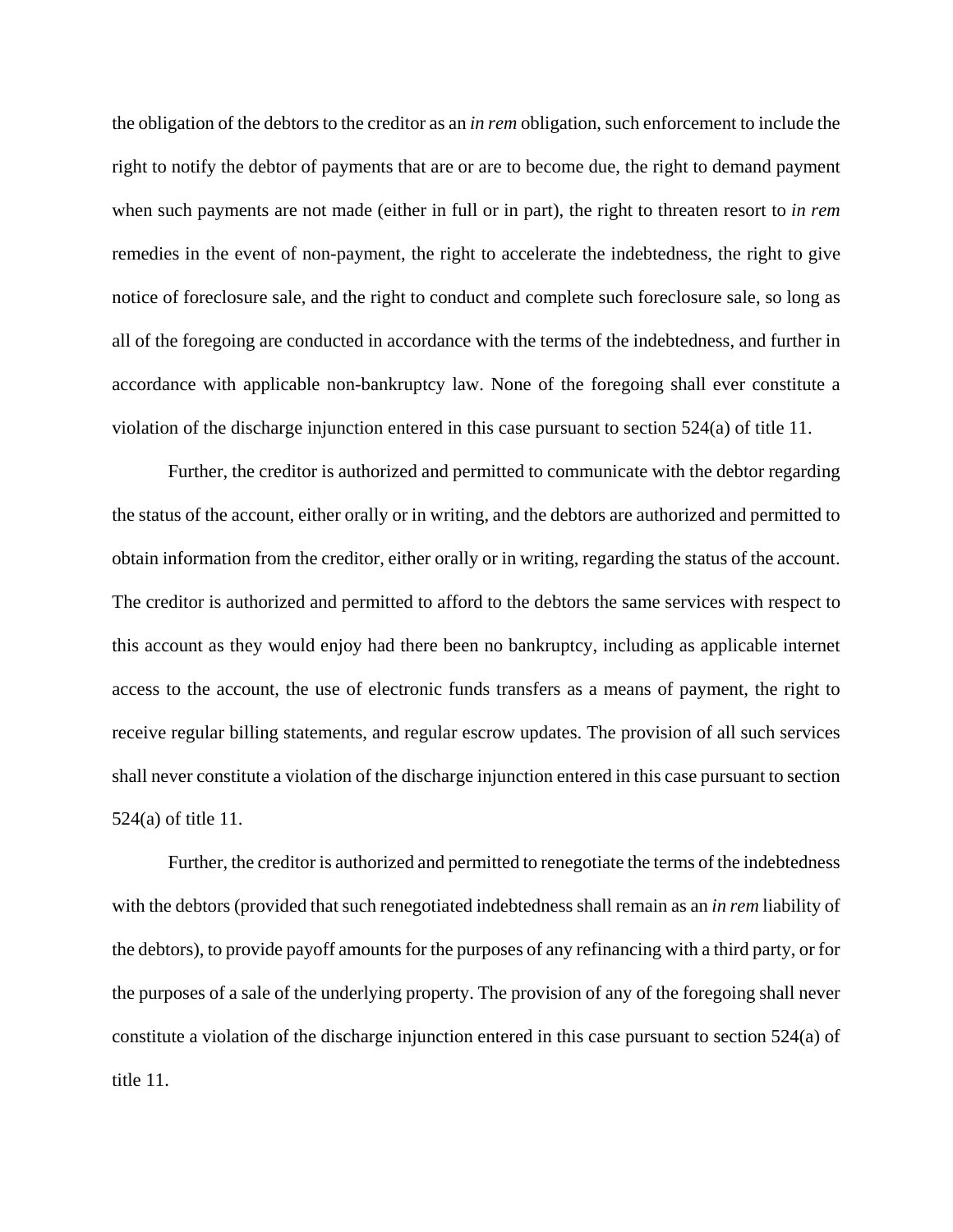the obligation of the debtors to the creditor as an *in rem* obligation, such enforcement to include the right to notify the debtor of payments that are or are to become due, the right to demand payment when such payments are not made (either in full or in part), the right to threaten resort to *in rem* remedies in the event of non-payment, the right to accelerate the indebtedness, the right to give notice of foreclosure sale, and the right to conduct and complete such foreclosure sale, so long as all of the foregoing are conducted in accordance with the terms of the indebtedness, and further in accordance with applicable non-bankruptcy law. None of the foregoing shall ever constitute a violation of the discharge injunction entered in this case pursuant to section 524(a) of title 11.

Further, the creditor is authorized and permitted to communicate with the debtor regarding the status of the account, either orally or in writing, and the debtors are authorized and permitted to obtain information from the creditor, either orally or in writing, regarding the status of the account. The creditor is authorized and permitted to afford to the debtors the same services with respect to this account as they would enjoy had there been no bankruptcy, including as applicable internet access to the account, the use of electronic funds transfers as a means of payment, the right to receive regular billing statements, and regular escrow updates. The provision of all such services shall never constitute a violation of the discharge injunction entered in this case pursuant to section 524(a) of title 11.

Further, the creditor is authorized and permitted to renegotiate the terms of the indebtedness with the debtors (provided that such renegotiated indebtedness shall remain as an *in rem* liability of the debtors), to provide payoff amounts for the purposes of any refinancing with a third party, or for the purposes of a sale of the underlying property. The provision of any of the foregoing shall never constitute a violation of the discharge injunction entered in this case pursuant to section 524(a) of title 11.